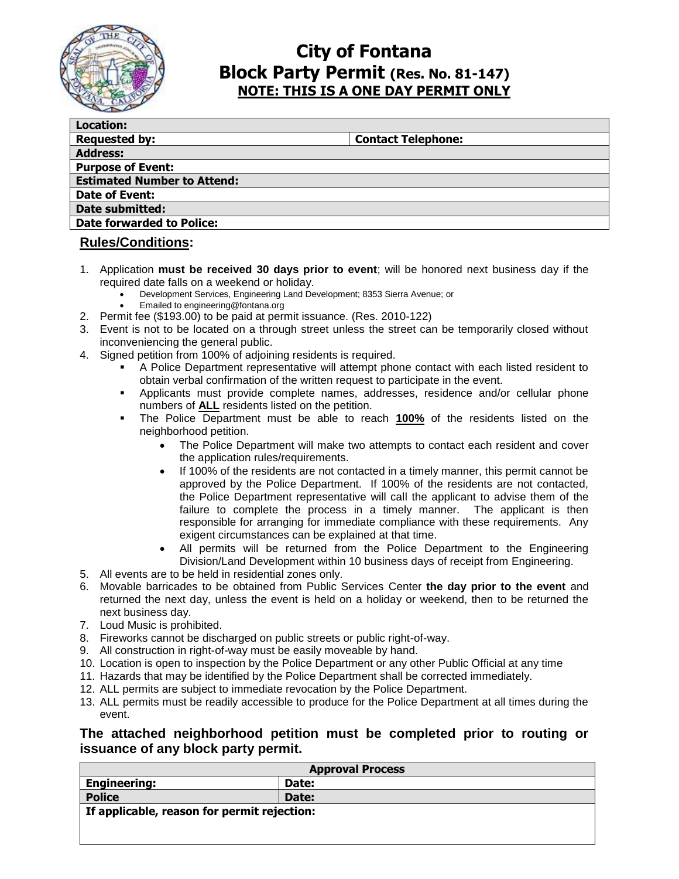

## **City of Fontana Block Party Permit (Res. No. 81-147) NOTE: THIS IS A ONE DAY PERMIT ONLY**

| <b>Location:</b>                   |                           |
|------------------------------------|---------------------------|
| <b>Requested by:</b>               | <b>Contact Telephone:</b> |
| <b>Address:</b>                    |                           |
| <b>Purpose of Event:</b>           |                           |
| <b>Estimated Number to Attend:</b> |                           |
| Date of Event:                     |                           |
| <b>Date submitted:</b>             |                           |
| <b>Date forwarded to Police:</b>   |                           |
|                                    |                           |

#### **Rules/Conditions:**

- 1. Application **must be received 30 days prior to event**; will be honored next business day if the required date falls on a weekend or holiday.
	- Development Services, Engineering Land Development; 8353 Sierra Avenue; or
	- Emailed to engineering@fontana.org
- 2. Permit fee (\$193.00) to be paid at permit issuance. (Res. 2010-122)
- 3. Event is not to be located on a through street unless the street can be temporarily closed without inconveniencing the general public.
- 4. Signed petition from 100% of adjoining residents is required.
	- A Police Department representative will attempt phone contact with each listed resident to obtain verbal confirmation of the written request to participate in the event.
	- Applicants must provide complete names, addresses, residence and/or cellular phone numbers of **ALL** residents listed on the petition.
	- The Police Department must be able to reach **100%** of the residents listed on the neighborhood petition.
		- The Police Department will make two attempts to contact each resident and cover the application rules/requirements.
		- If 100% of the residents are not contacted in a timely manner, this permit cannot be approved by the Police Department. If 100% of the residents are not contacted, the Police Department representative will call the applicant to advise them of the failure to complete the process in a timely manner. The applicant is then responsible for arranging for immediate compliance with these requirements. Any exigent circumstances can be explained at that time.
		- All permits will be returned from the Police Department to the Engineering Division/Land Development within 10 business days of receipt from Engineering.
- 5. All events are to be held in residential zones only.
- 6. Movable barricades to be obtained from Public Services Center **the day prior to the event** and returned the next day, unless the event is held on a holiday or weekend, then to be returned the next business day.
- 7. Loud Music is prohibited.
- 8. Fireworks cannot be discharged on public streets or public right-of-way.
- 9. All construction in right-of-way must be easily moveable by hand.
- 10. Location is open to inspection by the Police Department or any other Public Official at any time
- 11. Hazards that may be identified by the Police Department shall be corrected immediately.
- 12. ALL permits are subject to immediate revocation by the Police Department.
- 13. ALL permits must be readily accessible to produce for the Police Department at all times during the event.

#### **The attached neighborhood petition must be completed prior to routing or issuance of any block party permit.**

| <b>Approval Process</b>                     |       |  |  |  |  |  |  |
|---------------------------------------------|-------|--|--|--|--|--|--|
| <b>Engineering:</b>                         | Date: |  |  |  |  |  |  |
| <b>Police</b>                               | Date: |  |  |  |  |  |  |
| If applicable, reason for permit rejection: |       |  |  |  |  |  |  |